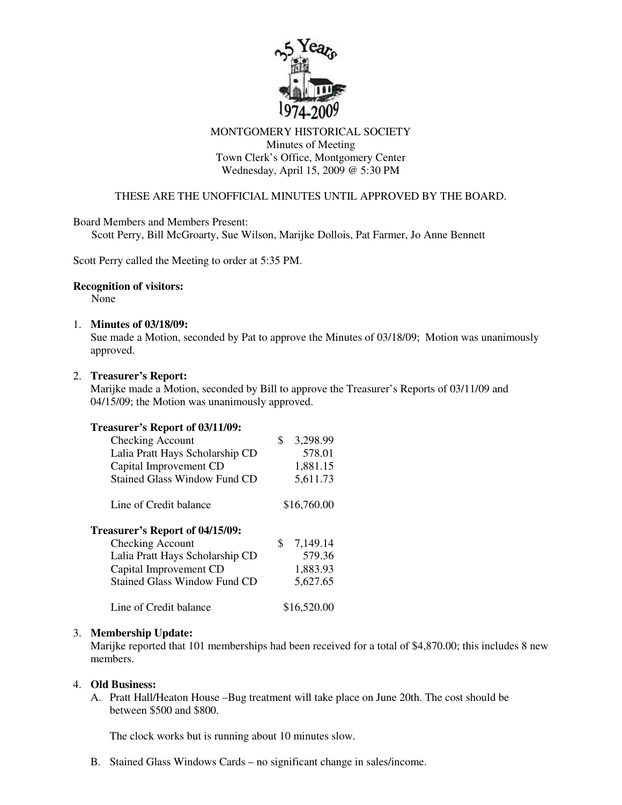

# MONTGOMERY HISTORICAL SOCIETY Minutes of Meeting Town Clerk's Office, Montgomery Center Wednesday, April 15, 2009 @ 5:30 PM

# THESE ARE THE UNOFFICIAL MINUTES UNTIL APPROVED BY THE BOARD.

Board Members and Members Present:

Scott Perry, Bill McGroarty, Sue Wilson, Marijke Dollois, Pat Farmer, Jo Anne Bennett

Scott Perry called the Meeting to order at 5:35 PM.

#### **Recognition of visitors:**

None

## 1. **Minutes of 03/18/09:**

Sue made a Motion, seconded by Pat to approve the Minutes of 03/18/09; Motion was unanimously approved.

## 2. **Treasurer's Report:**

Marijke made a Motion, seconded by Bill to approve the Treasurer's Reports of 03/11/09 and 04/15/09; the Motion was unanimously approved.

### **Treasurer's Report of 03/11/09:**

| Checking Account                    | 3,298.99<br>\$ |
|-------------------------------------|----------------|
| Lalia Pratt Hays Scholarship CD     | 578.01         |
| Capital Improvement CD              | 1,881.15       |
| <b>Stained Glass Window Fund CD</b> | 5,611.73       |
| Line of Credit balance              | \$16,760.00    |
| Treasurer's Report of 04/15/09:     |                |
| <b>Checking Account</b>             | 7,149.14<br>S  |
| Lalia Pratt Hays Scholarship CD     | 579.36         |
| Capital Improvement CD              | 1,883.93       |
| <b>Stained Glass Window Fund CD</b> | 5,627.65       |
| Line of Credit balance              | \$16,520.00    |

#### 3. **Membership Update:**

Marijke reported that 101 memberships had been received for a total of \$4,870.00; this includes 8 new members.

#### 4. **Old Business:**

A. Pratt Hall/Heaton House –Bug treatment will take place on June 20th. The cost should be between \$500 and \$800.

The clock works but is running about 10 minutes slow.

B. Stained Glass Windows Cards – no significant change in sales/income.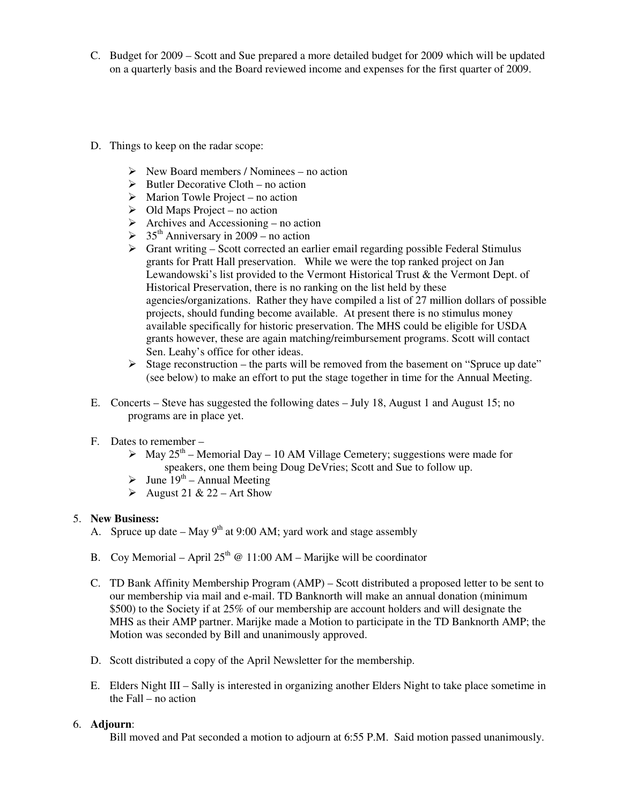- C. Budget for 2009 Scott and Sue prepared a more detailed budget for 2009 which will be updated on a quarterly basis and the Board reviewed income and expenses for the first quarter of 2009.
- D. Things to keep on the radar scope:
	- $\triangleright$  New Board members / Nominees no action
	- $\triangleright$  Butler Decorative Cloth no action
	- $\triangleright$  Marion Towle Project no action
	- $\triangleright$  Old Maps Project no action
	- $\triangleright$  Archives and Accessioning no action
	- $>$  35<sup>th</sup> Anniversary in 2009 no action
	- $\triangleright$  Grant writing Scott corrected an earlier email regarding possible Federal Stimulus grants for Pratt Hall preservation. While we were the top ranked project on Jan Lewandowski's list provided to the Vermont Historical Trust & the Vermont Dept. of Historical Preservation, there is no ranking on the list held by these agencies/organizations. Rather they have compiled a list of 27 million dollars of possible projects, should funding become available. At present there is no stimulus money available specifically for historic preservation. The MHS could be eligible for USDA grants however, these are again matching/reimbursement programs. Scott will contact Sen. Leahy's office for other ideas.
	- $\triangleright$  Stage reconstruction the parts will be removed from the basement on "Spruce up date" (see below) to make an effort to put the stage together in time for the Annual Meeting.
- E. Concerts Steve has suggested the following dates July 18, August 1 and August 15; no programs are in place yet.
- F. Dates to remember
	- $\triangleright$  May 25<sup>th</sup> Memorial Day 10 AM Village Cemetery; suggestions were made for speakers, one them being Doug DeVries; Scott and Sue to follow up.
	- $\triangleright$  June 19<sup>th</sup> Annual Meeting
	- August 21 & 22 Art Show

# 5. **New Business:**

- A. Spruce up date  $-$  May 9<sup>th</sup> at 9:00 AM; yard work and stage assembly
- B. Coy Memorial April  $25^{th}$  @ 11:00 AM Marijke will be coordinator
- C. TD Bank Affinity Membership Program (AMP) Scott distributed a proposed letter to be sent to our membership via mail and e-mail. TD Banknorth will make an annual donation (minimum \$500) to the Society if at 25% of our membership are account holders and will designate the MHS as their AMP partner. Marijke made a Motion to participate in the TD Banknorth AMP; the Motion was seconded by Bill and unanimously approved.
- D. Scott distributed a copy of the April Newsletter for the membership.
- E. Elders Night III Sally is interested in organizing another Elders Night to take place sometime in the Fall – no action

# 6. **Adjourn**:

Bill moved and Pat seconded a motion to adjourn at 6:55 P.M. Said motion passed unanimously.